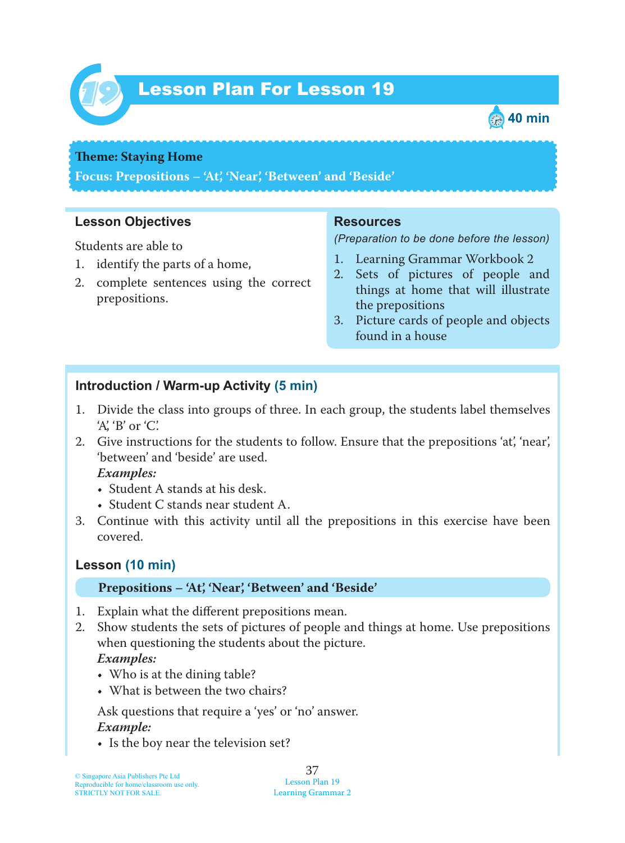

# Lesson Plan For Lesson 19 *19*



### **Theme: Staying Home**

**Focus: Prepositions – 'At', 'Near', 'Between' and 'Beside'**

## **Lesson Objectives**

Students are able to

- 1. identify the parts of a home,
- 2. complete sentences using the correct prepositions.

### **Resources**

*(Preparation to be done before the lesson)*

- 1. Learning Grammar Workbook 2
- 2. Sets of pictures of people and things at home that will illustrate the prepositions
- 3. Picture cards of people and objects found in a house

## **Introduction / Warm-up Activity (5 min)**

- 1. Divide the class into groups of three. In each group, the students label themselves 'A', 'B' or 'C'.
- 2. Give instructions for the students to follow. Ensure that the prepositions 'at', 'near', 'between' and 'beside' are used.

### *Examples:*

- Student A stands at his desk.
- Student C stands near student A.
- 3. Continue with this activity until all the prepositions in this exercise have been covered.

## **Lesson (10 min)**

### **Prepositions – 'At', 'Near', 'Between' and 'Beside'**

- 1. Explain what the different prepositions mean.
- 2. Show students the sets of pictures of people and things at home. Use prepositions when questioning the students about the picture.  *Examples:*
	- Who is at the dining table?
	- What is between the two chairs?

Ask questions that require a 'yes' or 'no' answer.

### *Example:*

• Is the boy near the television set?